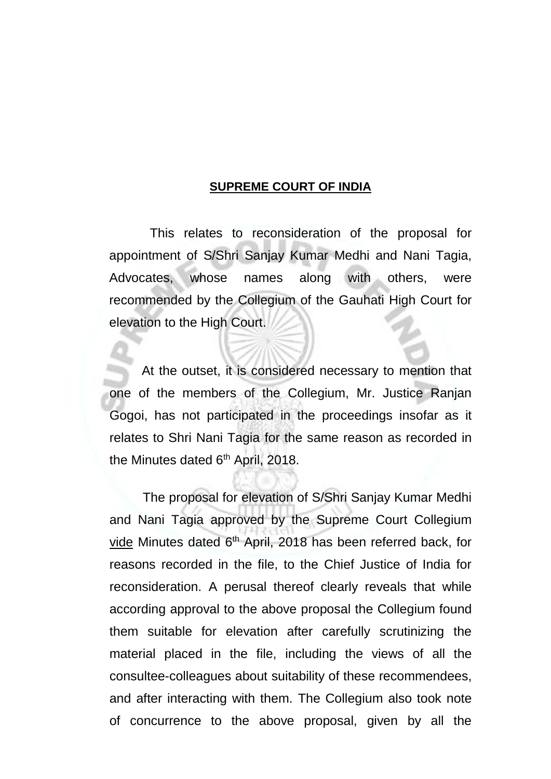## **SUPREME COURT OF INDIA**

This relates to reconsideration of the proposal for appointment of S/Shri Sanjay Kumar Medhi and Nani Tagia, Advocates, whose names along with others, were recommended by the Collegium of the Gauhati High Court for elevation to the High Court.

At the outset, it is considered necessary to mention that one of the members of the Collegium, Mr. Justice Ranjan Gogoi, has not participated in the proceedings insofar as it relates to Shri Nani Tagia for the same reason as recorded in the Minutes dated 6<sup>th</sup> April, 2018.

The proposal for elevation of S/Shri Sanjay Kumar Medhi and Nani Tagia approved by the Supreme Court Collegium vide Minutes dated 6<sup>th</sup> April, 2018 has been referred back, for reasons recorded in the file, to the Chief Justice of India for reconsideration. A perusal thereof clearly reveals that while according approval to the above proposal the Collegium found them suitable for elevation after carefully scrutinizing the material placed in the file, including the views of all the consultee-colleagues about suitability of these recommendees, and after interacting with them. The Collegium also took note of concurrence to the above proposal, given by all the